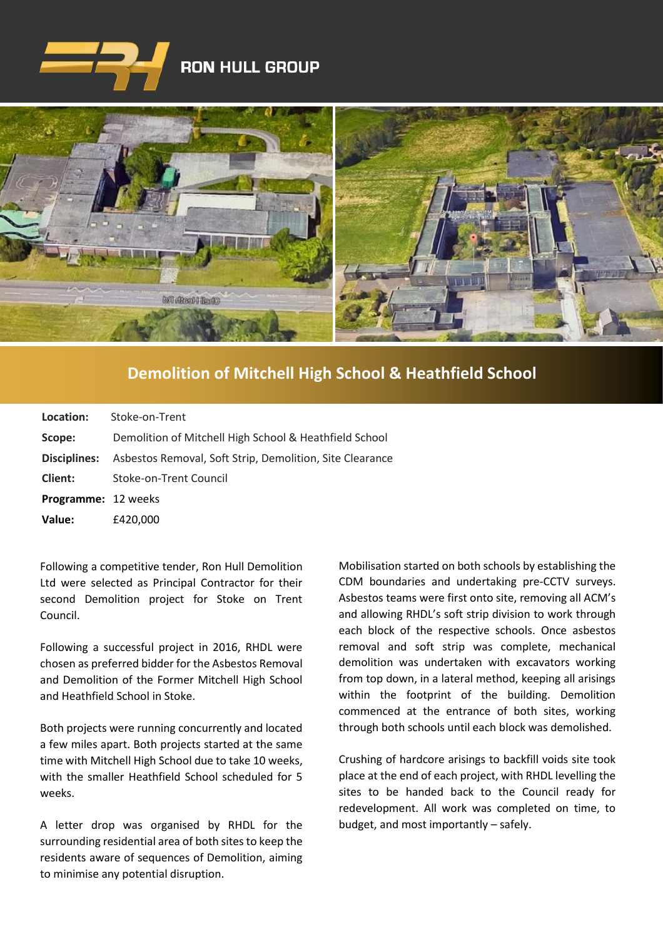

## **RON HULL GROUP**



## **[Demolition of Mitchell High School & Heathfield School](https://www.google.co.uk/imgres?imgurl=http%3A%2F%2Fwww.clenergy.co.uk%2FImageGen.ashx%3Fimage%3D%2Fmedia%2F1044%2Fcredit-solutia-2009-looking-south-4mb.jpg%26width%3D568%26height%3D320&imgrefurl=http%3A%2F%2Fwww.clenergy.co.uk%2Fprojects%2Fsolutia%2F&docid=l4QIaOP_OnRHZM&tbnid=A2rf481aMiEi8M%3A&vet=10ahUKEwie4JWq6srkAhX6SxUIHaTaDYwQMwg_KAEwAQ..i&w=568&h=320&bih=575&biw=1280&q=eastman%20chemical%20plant%20newport%20wales&ved=0ahUKEwie4JWq6srkAhX6SxUIHaTaDYwQMwg_KAEwAQ&iact=mrc&uact=8)**

| Location:                  | Stoke-on-Trent                                                               |
|----------------------------|------------------------------------------------------------------------------|
| Scope:                     | Demolition of Mitchell High School & Heathfield School                       |
|                            | <b>Disciplines:</b> Asbestos Removal, Soft Strip, Demolition, Site Clearance |
| <b>Client:</b>             | Stoke-on-Trent Council                                                       |
| <b>Programme: 12 weeks</b> |                                                                              |
| Value:                     | £420,000                                                                     |

Following a competitive tender, Ron Hull Demolition Ltd were selected as Principal Contractor for their second Demolition project for Stoke on Trent Council.

Following a successful project in 2016, RHDL were chosen as preferred bidder for the Asbestos Removal and Demolition of the Former Mitchell High School and Heathfield School in Stoke.

Both projects were running concurrently and located a few miles apart. Both projects started at the same time with Mitchell High School due to take 10 weeks, with the smaller Heathfield School scheduled for 5 weeks.

A letter drop was organised by RHDL for the surrounding residential area of both sites to keep the residents aware of sequences of Demolition, aiming to minimise any potential disruption.

Mobilisation started on both schools by establishing the CDM boundaries and undertaking pre-CCTV surveys. Asbestos teams were first onto site, removing all ACM's and allowing RHDL's soft strip division to work through each block of the respective schools. Once asbestos removal and soft strip was complete, mechanical demolition was undertaken with excavators working from top down, in a lateral method, keeping all arisings within the footprint of the building. Demolition commenced at the entrance of both sites, working through both schools until each block was demolished.

Crushing of hardcore arisings to backfill voids site took place at the end of each project, with RHDL levelling the sites to be handed back to the Council ready for redevelopment. All work was completed on time, to budget, and most importantly – safely.